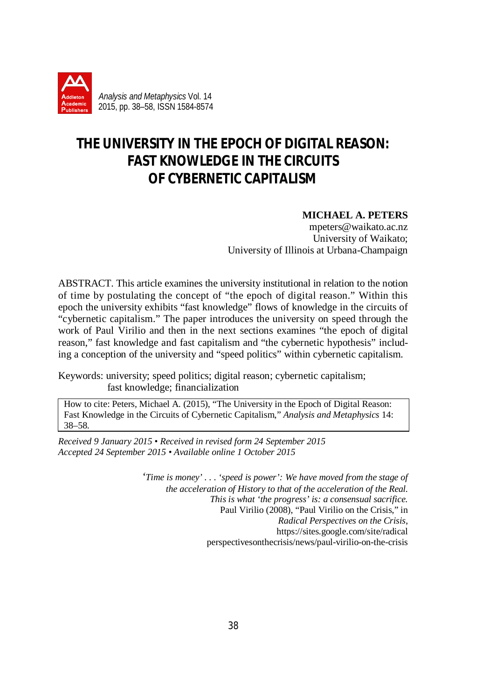

# **THE UNIVERSITY IN THE EPOCH OF DIGITAL REASON: FAST KNOWLEDGE IN THE CIRCUITS OF CYBERNETIC CAPITALISM**

# **MICHAEL A. PETERS**

mpeters@waikato.ac.nz University of Waikato; University of Illinois at Urbana-Champaign

ABSTRACT. This article examines the university institutional in relation to the notion of time by postulating the concept of "the epoch of digital reason." Within this epoch the university exhibits "fast knowledge" flows of knowledge in the circuits of "cybernetic capitalism." The paper introduces the university on speed through the work of Paul Virilio and then in the next sections examines "the epoch of digital reason," fast knowledge and fast capitalism and "the cybernetic hypothesis" including a conception of the university and "speed politics" within cybernetic capitalism.

Keywords: university; speed politics; digital reason; cybernetic capitalism; fast knowledge; financialization

How to cite: Peters, Michael A. (2015), "The University in the Epoch of Digital Reason: Fast Knowledge in the Circuits of Cybernetic Capitalism," *Analysis and Metaphysics* 14: 38–58.

*Received 9 January 2015 • Received in revised form 24 September 2015 Accepted 24 September 2015 • Available online 1 October 2015*

> *'Time is money' . . . 'speed is power': We have moved from the stage of the acceleration of History to that of the acceleration of the Real. This is what 'the progress' is: a consensual sacrifice.* Paul Virilio (2008), "Paul Virilio on the Crisis," in *Radical Perspectives on the Crisis*, https://sites.google.com/site/radical perspectivesonthecrisis/news/paul-virilio-on-the-crisis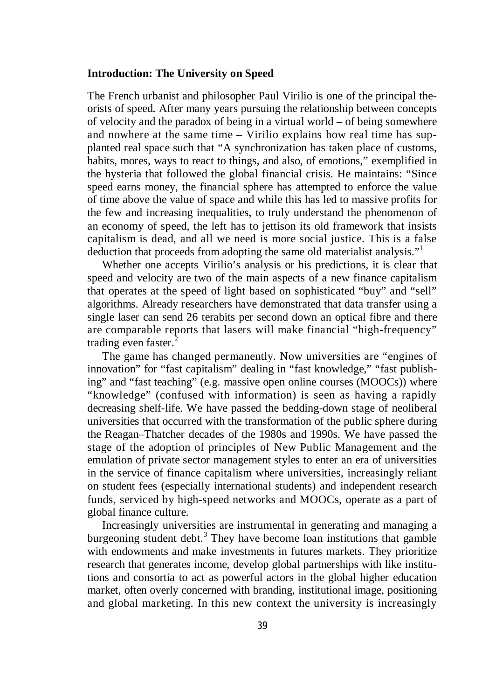## **Introduction: The University on Speed**

The French urbanist and philosopher Paul Virilio is one of the principal theorists of speed. After many years pursuing the relationship between concepts of velocity and the paradox of being in a virtual world – of being somewhere and nowhere at the same time – Virilio explains how real time has supplanted real space such that "A synchronization has taken place of customs, habits, mores, ways to react to things, and also, of emotions," exemplified in the hysteria that followed the global financial crisis. He maintains: "Since speed earns money, the financial sphere has attempted to enforce the value of time above the value of space and while this has led to massive profits for the few and increasing inequalities, to truly understand the phenomenon of an economy of speed, the left has to jettison its old framework that insists capitalism is dead, and all we need is more social justice. This is a false deduction that proceeds from adopting the same old materialist analysis."<sup>1</sup>

Whether one accepts Virilio's analysis or his predictions, it is clear that speed and velocity are two of the main aspects of a new finance capitalism that operates at the speed of light based on sophisticated "buy" and "sell" algorithms. Already researchers have demonstrated that data transfer using a single laser can send 26 terabits per second down an optical fibre and there are comparable reports that lasers will make financial "high-frequency" trading even faster. $<sup>2</sup>$ </sup>

The game has changed permanently. Now universities are "engines of innovation" for "fast capitalism" dealing in "fast knowledge," "fast publishing" and "fast teaching" (e.g. massive open online courses (MOOCs)) where "knowledge" (confused with information) is seen as having a rapidly decreasing shelf-life. We have passed the bedding-down stage of neoliberal universities that occurred with the transformation of the public sphere during the Reagan–Thatcher decades of the 1980s and 1990s. We have passed the stage of the adoption of principles of New Public Management and the emulation of private sector management styles to enter an era of universities in the service of finance capitalism where universities, increasingly reliant on student fees (especially international students) and independent research funds, serviced by high-speed networks and MOOCs, operate as a part of global finance culture.

Increasingly universities are instrumental in generating and managing a burgeoning student debt.<sup>3</sup> They have become loan institutions that gamble with endowments and make investments in futures markets. They prioritize research that generates income, develop global partnerships with like institutions and consortia to act as powerful actors in the global higher education market, often overly concerned with branding, institutional image, positioning and global marketing. In this new context the university is increasingly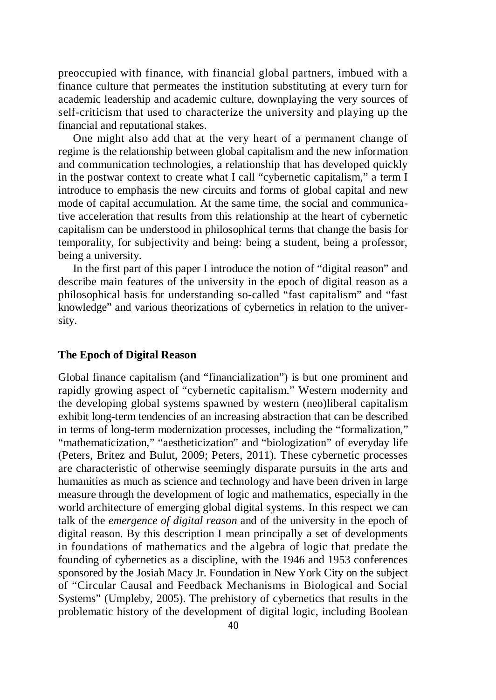preoccupied with finance, with financial global partners, imbued with a finance culture that permeates the institution substituting at every turn for academic leadership and academic culture, downplaying the very sources of self-criticism that used to characterize the university and playing up the financial and reputational stakes.

One might also add that at the very heart of a permanent change of regime is the relationship between global capitalism and the new information and communication technologies, a relationship that has developed quickly in the postwar context to create what I call "cybernetic capitalism," a term I introduce to emphasis the new circuits and forms of global capital and new mode of capital accumulation. At the same time, the social and communicative acceleration that results from this relationship at the heart of cybernetic capitalism can be understood in philosophical terms that change the basis for temporality, for subjectivity and being: being a student, being a professor, being a university.

In the first part of this paper I introduce the notion of "digital reason" and describe main features of the university in the epoch of digital reason as a philosophical basis for understanding so-called "fast capitalism" and "fast knowledge" and various theorizations of cybernetics in relation to the university.

### **The Epoch of Digital Reason**

Global finance capitalism (and "financialization") is but one prominent and rapidly growing aspect of "cybernetic capitalism." Western modernity and the developing global systems spawned by western (neo)liberal capitalism exhibit long-term tendencies of an increasing abstraction that can be described in terms of long-term modernization processes, including the "formalization," "mathematicization," "aestheticization" and "biologization" of everyday life (Peters, Britez and Bulut, 2009; Peters, 2011). These cybernetic processes are characteristic of otherwise seemingly disparate pursuits in the arts and humanities as much as science and technology and have been driven in large measure through the development of logic and mathematics, especially in the world architecture of emerging global digital systems. In this respect we can talk of the *emergence of digital reason* and of the university in the epoch of digital reason. By this description I mean principally a set of developments in foundations of mathematics and the algebra of logic that predate the founding of cybernetics as a discipline, with the 1946 and 1953 conferences sponsored by the Josiah Macy Jr. Foundation in New York City on the subject of "Circular Causal and Feedback Mechanisms in Biological and Social Systems" (Umpleby, 2005). The prehistory of cybernetics that results in the problematic history of the development of digital logic, including Boolean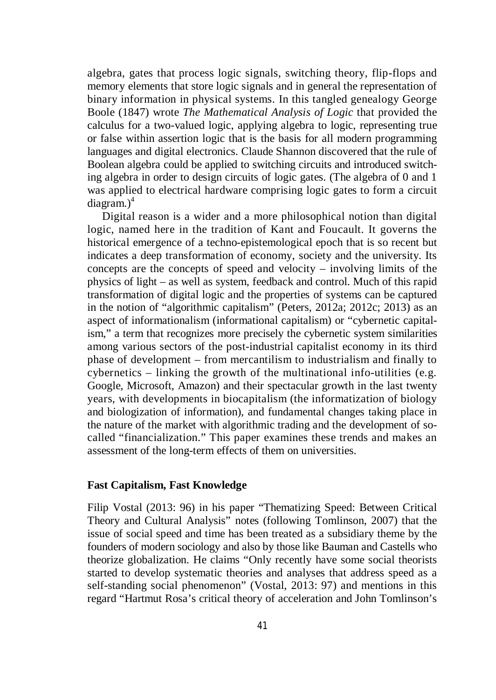algebra, gates that process logic signals, switching theory, flip-flops and memory elements that store logic signals and in general the representation of binary information in physical systems. In this tangled genealogy George Boole (1847) wrote *The Mathematical Analysis of Logic* that provided the calculus for a two-valued logic, applying algebra to logic, representing true or false within assertion logic that is the basis for all modern programming languages and digital electronics. Claude Shannon discovered that the rule of Boolean algebra could be applied to switching circuits and introduced switching algebra in order to design circuits of logic gates. (The algebra of 0 and 1 was applied to electrical hardware comprising logic gates to form a circuit diagram. $)^4$ 

Digital reason is a wider and a more philosophical notion than digital logic, named here in the tradition of Kant and Foucault. It governs the historical emergence of a techno-epistemological epoch that is so recent but indicates a deep transformation of economy, society and the university. Its concepts are the concepts of speed and velocity – involving limits of the physics of light – as well as system, feedback and control. Much of this rapid transformation of digital logic and the properties of systems can be captured in the notion of "algorithmic capitalism" (Peters, 2012a; 2012c; 2013) as an aspect of informationalism (informational capitalism) or "cybernetic capitalism," a term that recognizes more precisely the cybernetic system similarities among various sectors of the post-industrial capitalist economy in its third phase of development – from mercantilism to industrialism and finally to cybernetics – linking the growth of the multinational info-utilities (e.g. Google, Microsoft, Amazon) and their spectacular growth in the last twenty years, with developments in biocapitalism (the informatization of biology and biologization of information), and fundamental changes taking place in the nature of the market with algorithmic trading and the development of socalled "financialization." This paper examines these trends and makes an assessment of the long-term effects of them on universities.

# **Fast Capitalism, Fast Knowledge**

Filip Vostal (2013: 96) in his paper "Thematizing Speed: Between Critical Theory and Cultural Analysis" notes (following Tomlinson, 2007) that the issue of social speed and time has been treated as a subsidiary theme by the founders of modern sociology and also by those like Bauman and Castells who theorize globalization. He claims "Only recently have some social theorists started to develop systematic theories and analyses that address speed as a self-standing social phenomenon" (Vostal, 2013: 97) and mentions in this regard "Hartmut Rosa's critical theory of acceleration and John Tomlinson's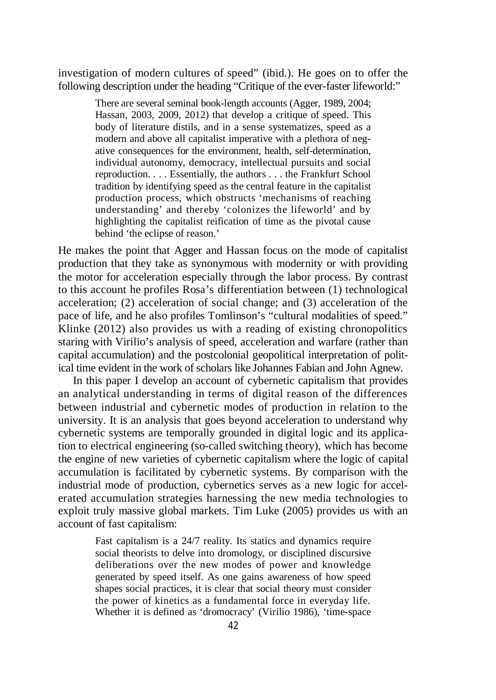investigation of modern cultures of speed" (ibid.). He goes on to offer the following description under the heading "Critique of the ever-faster lifeworld:"

> There are several seminal book-length accounts (Agger, 1989, 2004; Hassan, 2003, 2009, 2012) that develop a critique of speed. This body of literature distils, and in a sense systematizes, speed as a modern and above all capitalist imperative with a plethora of negative consequences for the environment, health, self-determination, individual autonomy, democracy, intellectual pursuits and social reproduction. . . . Essentially, the authors . . . the Frankfurt School tradition by identifying speed as the central feature in the capitalist production process, which obstructs 'mechanisms of reaching understanding' and thereby 'colonizes the lifeworld' and by highlighting the capitalist reification of time as the pivotal cause behind 'the eclipse of reason.'

He makes the point that Agger and Hassan focus on the mode of capitalist production that they take as synonymous with modernity or with providing the motor for acceleration especially through the labor process. By contrast to this account he profiles Rosa's differentiation between (1) technological acceleration; (2) acceleration of social change; and (3) acceleration of the pace of life, and he also profiles Tomlinson's "cultural modalities of speed." Klinke (2012) also provides us with a reading of existing chronopolitics staring with Virilio's analysis of speed, acceleration and warfare (rather than capital accumulation) and the postcolonial geopolitical interpretation of political time evident in the work of scholars like Johannes Fabian and John Agnew.

In this paper I develop an account of cybernetic capitalism that provides an analytical understanding in terms of digital reason of the differences between industrial and cybernetic modes of production in relation to the university. It is an analysis that goes beyond acceleration to understand why cybernetic systems are temporally grounded in digital logic and its application to electrical engineering (so-called switching theory), which has become the engine of new varieties of cybernetic capitalism where the logic of capital accumulation is facilitated by cybernetic systems. By comparison with the industrial mode of production, cybernetics serves as a new logic for accelerated accumulation strategies harnessing the new media technologies to exploit truly massive global markets. Tim Luke (2005) provides us with an account of fast capitalism:

> Fast capitalism is a 24/7 reality. Its statics and dynamics require social theorists to delve into dromology, or disciplined discursive deliberations over the new modes of power and knowledge generated by speed itself. As one gains awareness of how speed shapes social practices, it is clear that social theory must consider the power of kinetics as a fundamental force in everyday life. Whether it is defined as 'dromocracy' (Virilio 1986), 'time-space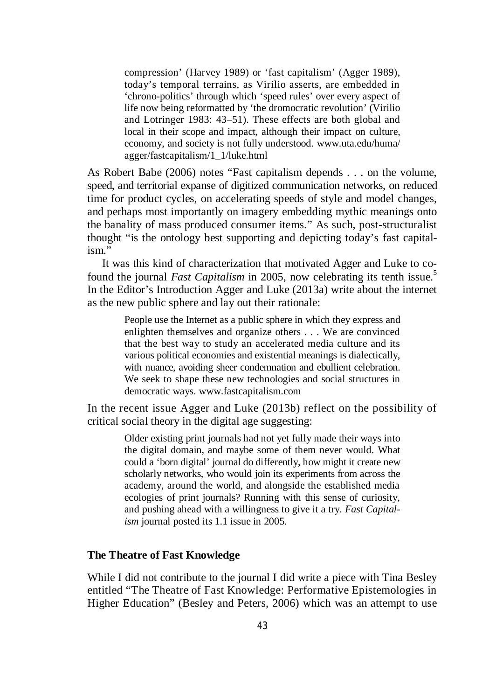compression' (Harvey 1989) or 'fast capitalism' (Agger 1989), today's temporal terrains, as Virilio asserts, are embedded in 'chrono-politics' through which 'speed rules' over every aspect of life now being reformatted by 'the dromocratic revolution' (Virilio and Lotringer 1983: 43–51). These effects are both global and local in their scope and impact, although their impact on culture, economy, and society is not fully understood. www.uta.edu/huma/ agger/fastcapitalism/1\_1/luke.html

As Robert Babe (2006) notes "Fast capitalism depends . . . on the volume, speed, and territorial expanse of digitized communication networks, on reduced time for product cycles, on accelerating speeds of style and model changes, and perhaps most importantly on imagery embedding mythic meanings onto the banality of mass produced consumer items." As such, post-structuralist thought "is the ontology best supporting and depicting today's fast capitalism."

It was this kind of characterization that motivated Agger and Luke to cofound the journal *Fast Capitalism* in 2005, now celebrating its tenth issue.<sup>5</sup> In the Editor's Introduction Agger and Luke (2013a) write about the internet as the new public sphere and lay out their rationale:

> People use the Internet as a public sphere in which they express and enlighten themselves and organize others . . . We are convinced that the best way to study an accelerated media culture and its various political economies and existential meanings is dialectically, with nuance, avoiding sheer condemnation and ebullient celebration. We seek to shape these new technologies and social structures in democratic ways. www.fastcapitalism.com

In the recent issue Agger and Luke (2013b) reflect on the possibility of critical social theory in the digital age suggesting:

> Older existing print journals had not yet fully made their ways into the digital domain, and maybe some of them never would. What could a 'born digital' journal do differently, how might it create new scholarly networks, who would join its experiments from across the academy, around the world, and alongside the established media ecologies of print journals? Running with this sense of curiosity, and pushing ahead with a willingness to give it a try. *Fast Capitalism* journal posted its 1.1 issue in 2005.

# **The Theatre of Fast Knowledge**

While I did not contribute to the journal I did write a piece with Tina Besley entitled "The Theatre of Fast Knowledge: Performative Epistemologies in Higher Education" (Besley and Peters, 2006) which was an attempt to use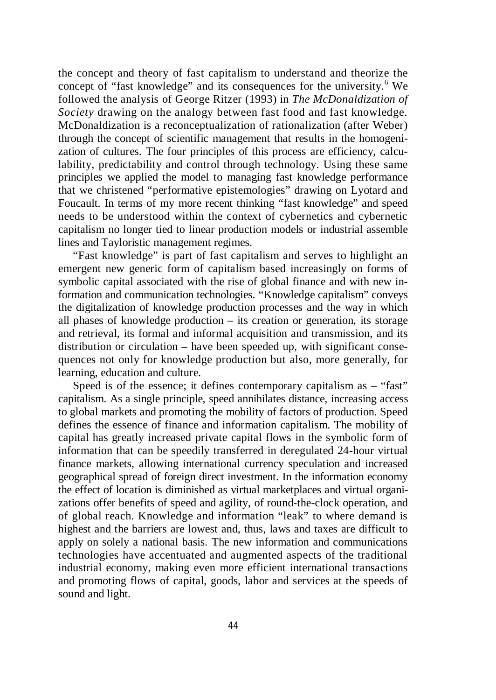the concept and theory of fast capitalism to understand and theorize the concept of "fast knowledge" and its consequences for the university.<sup>6</sup> We followed the analysis of George Ritzer (1993) in *The McDonaldization of Society* drawing on the analogy between fast food and fast knowledge. McDonaldization is a reconceptualization of rationalization (after Weber) through the concept of scientific management that results in the homogenization of cultures. The four principles of this process are efficiency, calculability, predictability and control through technology. Using these same principles we applied the model to managing fast knowledge performance that we christened "performative epistemologies" drawing on Lyotard and Foucault. In terms of my more recent thinking "fast knowledge" and speed needs to be understood within the context of cybernetics and cybernetic capitalism no longer tied to linear production models or industrial assemble lines and Tayloristic management regimes.

"Fast knowledge" is part of fast capitalism and serves to highlight an emergent new generic form of capitalism based increasingly on forms of symbolic capital associated with the rise of global finance and with new information and communication technologies. "Knowledge capitalism" conveys the digitalization of knowledge production processes and the way in which all phases of knowledge production – its creation or generation, its storage and retrieval, its formal and informal acquisition and transmission, and its distribution or circulation – have been speeded up, with significant consequences not only for knowledge production but also, more generally, for learning, education and culture.

Speed is of the essence; it defines contemporary capitalism as – "fast" capitalism. As a single principle, speed annihilates distance, increasing access to global markets and promoting the mobility of factors of production. Speed defines the essence of finance and information capitalism. The mobility of capital has greatly increased private capital flows in the symbolic form of information that can be speedily transferred in deregulated 24-hour virtual finance markets, allowing international currency speculation and increased geographical spread of foreign direct investment. In the information economy the effect of location is diminished as virtual marketplaces and virtual organizations offer benefits of speed and agility, of round-the-clock operation, and of global reach. Knowledge and information "leak" to where demand is highest and the barriers are lowest and, thus, laws and taxes are difficult to apply on solely a national basis. The new information and communications technologies have accentuated and augmented aspects of the traditional industrial economy, making even more efficient international transactions and promoting flows of capital, goods, labor and services at the speeds of sound and light.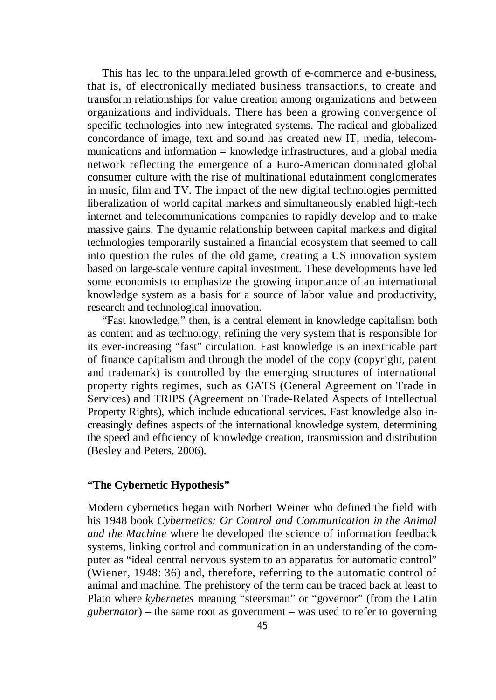This has led to the unparalleled growth of e-commerce and e-business, that is, of electronically mediated business transactions, to create and transform relationships for value creation among organizations and between organizations and individuals. There has been a growing convergence of specific technologies into new integrated systems. The radical and globalized concordance of image, text and sound has created new IT, media, telecommunications and information  $=$  knowledge infrastructures, and a global media network reflecting the emergence of a Euro-American dominated global consumer culture with the rise of multinational edutainment conglomerates in music, film and TV. The impact of the new digital technologies permitted liberalization of world capital markets and simultaneously enabled high-tech internet and telecommunications companies to rapidly develop and to make massive gains. The dynamic relationship between capital markets and digital technologies temporarily sustained a financial ecosystem that seemed to call into question the rules of the old game, creating a US innovation system based on large-scale venture capital investment. These developments have led some economists to emphasize the growing importance of an international knowledge system as a basis for a source of labor value and productivity, research and technological innovation.

"Fast knowledge," then, is a central element in knowledge capitalism both as content and as technology, refining the very system that is responsible for its ever-increasing "fast" circulation. Fast knowledge is an inextricable part of finance capitalism and through the model of the copy (copyright, patent and trademark) is controlled by the emerging structures of international property rights regimes, such as GATS (General Agreement on Trade in Services) and TRIPS (Agreement on Trade-Related Aspects of Intellectual Property Rights), which include educational services. Fast knowledge also increasingly defines aspects of the international knowledge system, determining the speed and efficiency of knowledge creation, transmission and distribution (Besley and Peters, 2006).

## **"The Cybernetic Hypothesis"**

Modern cybernetics began with Norbert Weiner who defined the field with his 1948 book *Cybernetics: Or Control and Communication in the Animal and the Machine* where he developed the science of information feedback systems, linking control and communication in an understanding of the computer as "ideal central nervous system to an apparatus for automatic control" (Wiener, 1948: 36) and, therefore, referring to the automatic control of animal and machine. The prehistory of the term can be traced back at least to Plato where *kybernetes* meaning "steersman" or "governor" (from the Latin *gubernator*) – the same root as government – was used to refer to governing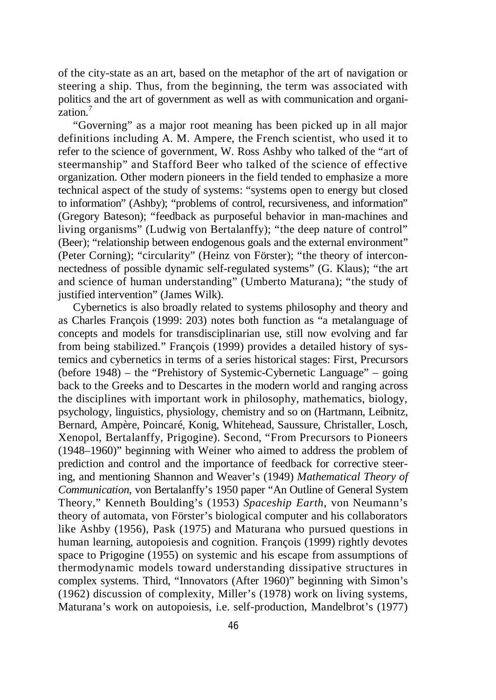of the city-state as an art, based on the metaphor of the art of navigation or steering a ship. Thus, from the beginning, the term was associated with politics and the art of government as well as with communication and organization.<sup>7</sup>

"Governing" as a major root meaning has been picked up in all major definitions including A. M. Ampere, the French scientist, who used it to refer to the science of government, W. Ross Ashby who talked of the "art of steermanship" and Stafford Beer who talked of the science of effective organization. Other modern pioneers in the field tended to emphasize a more technical aspect of the study of systems: "systems open to energy but closed to information" (Ashby); "problems of control, recursiveness, and information" (Gregory Bateson); "feedback as purposeful behavior in man-machines and living organisms" (Ludwig von Bertalanffy); "the deep nature of control" (Beer); "relationship between endogenous goals and the external environment" (Peter Corning); "circularity" (Heinz von Förster); "the theory of interconnectedness of possible dynamic self-regulated systems" (G. Klaus); "the art and science of human understanding" (Umberto Maturana); "the study of justified intervention" (James Wilk).

Cybernetics is also broadly related to systems philosophy and theory and as Charles François (1999: 203) notes both function as "a metalanguage of concepts and models for transdisciplinarian use, still now evolving and far from being stabilized." François (1999) provides a detailed history of systemics and cybernetics in terms of a series historical stages: First, Precursors (before 1948) – the "Prehistory of Systemic-Cybernetic Language" – going back to the Greeks and to Descartes in the modern world and ranging across the disciplines with important work in philosophy, mathematics, biology, psychology, linguistics, physiology, chemistry and so on (Hartmann, Leibnitz, Bernard, Ampère, Poincaré, Konig, Whitehead, Saussure, Christaller, Losch, Xenopol, Bertalanffy, Prigogine). Second, "From Precursors to Pioneers (1948–1960)" beginning with Weiner who aimed to address the problem of prediction and control and the importance of feedback for corrective steering, and mentioning Shannon and Weaver's (1949) *Mathematical Theory of Communication*, von Bertalanffy's 1950 paper "An Outline of General System Theory," Kenneth Boulding's (1953) *Spaceship Earth*, von Neumann's theory of automata, von Förster's biological computer and his collaborators like Ashby (1956), Pask (1975) and Maturana who pursued questions in human learning, autopoiesis and cognition. François (1999) rightly devotes space to Prigogine (1955) on systemic and his escape from assumptions of thermodynamic models toward understanding dissipative structures in complex systems. Third, "Innovators (After 1960)" beginning with Simon's (1962) discussion of complexity, Miller's (1978) work on living systems, Maturana's work on autopoiesis, i.e. self-production, Mandelbrot's (1977)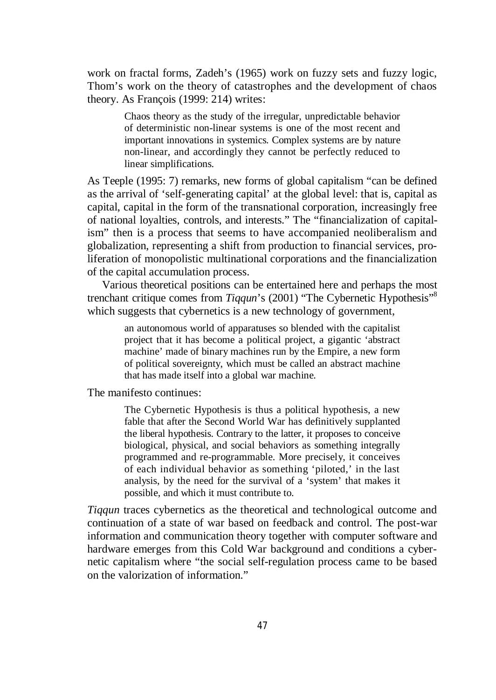work on fractal forms, Zadeh's (1965) work on fuzzy sets and fuzzy logic, Thom's work on the theory of catastrophes and the development of chaos theory. As François (1999: 214) writes:

> Chaos theory as the study of the irregular, unpredictable behavior of deterministic non-linear systems is one of the most recent and important innovations in systemics. Complex systems are by nature non-linear, and accordingly they cannot be perfectly reduced to linear simplifications.

As Teeple (1995: 7) remarks, new forms of global capitalism "can be defined as the arrival of 'self-generating capital' at the global level: that is, capital as capital, capital in the form of the transnational corporation, increasingly free of national loyalties, controls, and interests." The "financialization of capitalism" then is a process that seems to have accompanied neoliberalism and globalization, representing a shift from production to financial services, proliferation of monopolistic multinational corporations and the financialization of the capital accumulation process.

Various theoretical positions can be entertained here and perhaps the most trenchant critique comes from *Tiqqun*'s (2001) "The Cybernetic Hypothesis"<sup>8</sup> which suggests that cybernetics is a new technology of government,

> an autonomous world of apparatuses so blended with the capitalist project that it has become a political project, a gigantic 'abstract machine' made of binary machines run by the Empire, a new form of political sovereignty, which must be called an abstract machine that has made itself into a global war machine.

The manifesto continues:

The Cybernetic Hypothesis is thus a political hypothesis, a new fable that after the Second World War has definitively supplanted the liberal hypothesis. Contrary to the latter, it proposes to conceive biological, physical, and social behaviors as something integrally programmed and re-programmable. More precisely, it conceives of each individual behavior as something 'piloted,' in the last analysis, by the need for the survival of a 'system' that makes it possible, and which it must contribute to.

*Tiqqun* traces cybernetics as the theoretical and technological outcome and continuation of a state of war based on feedback and control. The post-war information and communication theory together with computer software and hardware emerges from this Cold War background and conditions a cybernetic capitalism where "the social self-regulation process came to be based on the valorization of information."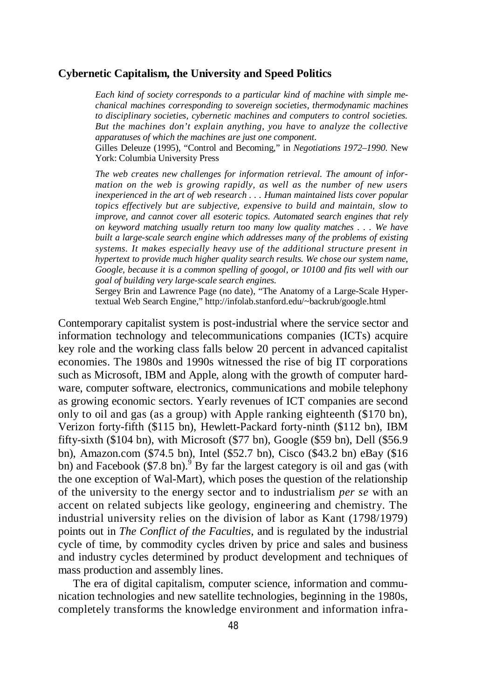## **Cybernetic Capitalism, the University and Speed Politics**

*Each kind of society corresponds to a particular kind of machine with simple mechanical machines corresponding to sovereign societies, thermodynamic machines to disciplinary societies, cybernetic machines and computers to control societies. But the machines don't explain anything, you have to analyze the collective apparatuses of which the machines are just one component.*

Gilles Deleuze (1995), "Control and Becoming," in *Negotiations 1972–1990*. New York: Columbia University Press

*The web creates new challenges for information retrieval. The amount of information on the web is growing rapidly, as well as the number of new users inexperienced in the art of web research . . . Human maintained lists cover popular topics effectively but are subjective, expensive to build and maintain, slow to improve, and cannot cover all esoteric topics. Automated search engines that rely on keyword matching usually return too many low quality matches . . . We have built a large-scale search engine which addresses many of the problems of existing systems. It makes especially heavy use of the additional structure present in hypertext to provide much higher quality search results. We chose our system name, Google, because it is a common spelling of googol, or 10100 and fits well with our goal of building very large-scale search engines.*

Sergey Brin and Lawrence Page (no date), "The Anatomy of a Large-Scale Hypertextual Web Search Engine," http://infolab.stanford.edu/~backrub/google.html

Contemporary capitalist system is post-industrial where the service sector and information technology and telecommunications companies (ICTs) acquire key role and the working class falls below 20 percent in advanced capitalist economies. The 1980s and 1990s witnessed the rise of big IT corporations such as Microsoft, IBM and Apple, along with the growth of computer hardware, computer software, electronics, communications and mobile telephony as growing economic sectors. Yearly revenues of ICT companies are second only to oil and gas (as a group) with Apple ranking eighteenth (\$170 bn), Verizon forty-fifth (\$115 bn), Hewlett-Packard forty-ninth (\$112 bn), IBM fifty-sixth (\$104 bn), with Microsoft (\$77 bn), Google (\$59 bn), Dell (\$56.9 bn), Amazon.com (\$74.5 bn), Intel (\$52.7 bn), Cisco (\$43.2 bn) eBay (\$16 bn) and Facebook  $(\$7.8$  bn).<sup>9</sup> By far the largest category is oil and gas (with the one exception of Wal-Mart), which poses the question of the relationship of the university to the energy sector and to industrialism *per se* with an accent on related subjects like geology, engineering and chemistry. The industrial university relies on the division of labor as Kant (1798/1979) points out in *The Conflict of the Faculties*, and is regulated by the industrial cycle of time, by commodity cycles driven by price and sales and business and industry cycles determined by product development and techniques of mass production and assembly lines.

The era of digital capitalism, computer science, information and communication technologies and new satellite technologies, beginning in the 1980s, completely transforms the knowledge environment and information infra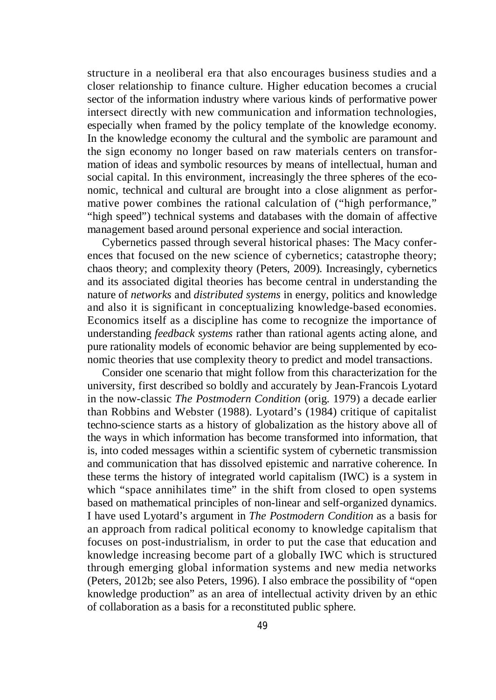structure in a neoliberal era that also encourages business studies and a closer relationship to finance culture. Higher education becomes a crucial sector of the information industry where various kinds of performative power intersect directly with new communication and information technologies, especially when framed by the policy template of the knowledge economy. In the knowledge economy the cultural and the symbolic are paramount and the sign economy no longer based on raw materials centers on transformation of ideas and symbolic resources by means of intellectual, human and social capital. In this environment, increasingly the three spheres of the economic, technical and cultural are brought into a close alignment as performative power combines the rational calculation of ("high performance," "high speed") technical systems and databases with the domain of affective management based around personal experience and social interaction.

Cybernetics passed through several historical phases: The Macy conferences that focused on the new science of cybernetics; catastrophe theory; chaos theory; and complexity theory (Peters, 2009). Increasingly, cybernetics and its associated digital theories has become central in understanding the nature of *networks* and *distributed systems* in energy, politics and knowledge and also it is significant in conceptualizing knowledge-based economies. Economics itself as a discipline has come to recognize the importance of understanding *feedback systems* rather than rational agents acting alone, and pure rationality models of economic behavior are being supplemented by economic theories that use complexity theory to predict and model transactions.

Consider one scenario that might follow from this characterization for the university, first described so boldly and accurately by Jean-Francois Lyotard in the now-classic *The Postmodern Condition* (orig. 1979) a decade earlier than Robbins and Webster (1988). Lyotard's (1984) critique of capitalist techno-science starts as a history of globalization as the history above all of the ways in which information has become transformed into information, that is, into coded messages within a scientific system of cybernetic transmission and communication that has dissolved epistemic and narrative coherence. In these terms the history of integrated world capitalism (IWC) is a system in which "space annihilates time" in the shift from closed to open systems based on mathematical principles of non-linear and self-organized dynamics. I have used Lyotard's argument in *The Postmodern Condition* as a basis for an approach from radical political economy to knowledge capitalism that focuses on post-industrialism, in order to put the case that education and knowledge increasing become part of a globally IWC which is structured through emerging global information systems and new media networks (Peters, 2012b; see also Peters, 1996). I also embrace the possibility of "open knowledge production" as an area of intellectual activity driven by an ethic of collaboration as a basis for a reconstituted public sphere.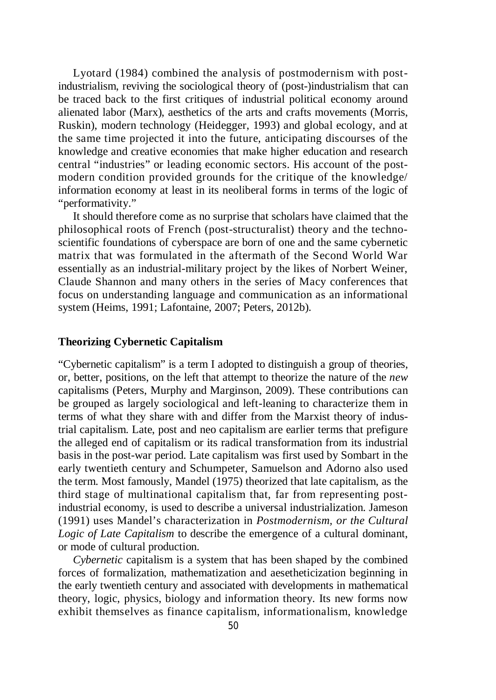Lyotard (1984) combined the analysis of postmodernism with postindustrialism, reviving the sociological theory of (post-)industrialism that can be traced back to the first critiques of industrial political economy around alienated labor (Marx), aesthetics of the arts and crafts movements (Morris, Ruskin), modern technology (Heidegger, 1993) and global ecology, and at the same time projected it into the future, anticipating discourses of the knowledge and creative economies that make higher education and research central "industries" or leading economic sectors. His account of the postmodern condition provided grounds for the critique of the knowledge/ information economy at least in its neoliberal forms in terms of the logic of "performativity."

It should therefore come as no surprise that scholars have claimed that the philosophical roots of French (post-structuralist) theory and the technoscientific foundations of cyberspace are born of one and the same cybernetic matrix that was formulated in the aftermath of the Second World War essentially as an industrial-military project by the likes of Norbert Weiner, Claude Shannon and many others in the series of Macy conferences that focus on understanding language and communication as an informational system (Heims, 1991; Lafontaine, 2007; Peters, 2012b).

# **Theorizing Cybernetic Capitalism**

"Cybernetic capitalism" is a term I adopted to distinguish a group of theories, or, better, positions, on the left that attempt to theorize the nature of the *new* capitalisms (Peters, Murphy and Marginson, 2009). These contributions can be grouped as largely sociological and left-leaning to characterize them in terms of what they share with and differ from the Marxist theory of industrial capitalism. Late, post and neo capitalism are earlier terms that prefigure the alleged end of capitalism or its radical transformation from its industrial basis in the post-war period. Late capitalism was first used by Sombart in the early twentieth century and Schumpeter, Samuelson and Adorno also used the term. Most famously, Mandel (1975) theorized that late capitalism, as the third stage of multinational capitalism that, far from representing postindustrial economy, is used to describe a universal industrialization. Jameson (1991) uses Mandel's characterization in *Postmodernism, or the Cultural Logic of Late Capitalism* to describe the emergence of a cultural dominant, or mode of cultural production.

*Cybernetic* capitalism is a system that has been shaped by the combined forces of formalization, mathematization and aesetheticization beginning in the early twentieth century and associated with developments in mathematical theory, logic, physics, biology and information theory. Its new forms now exhibit themselves as finance capitalism, informationalism, knowledge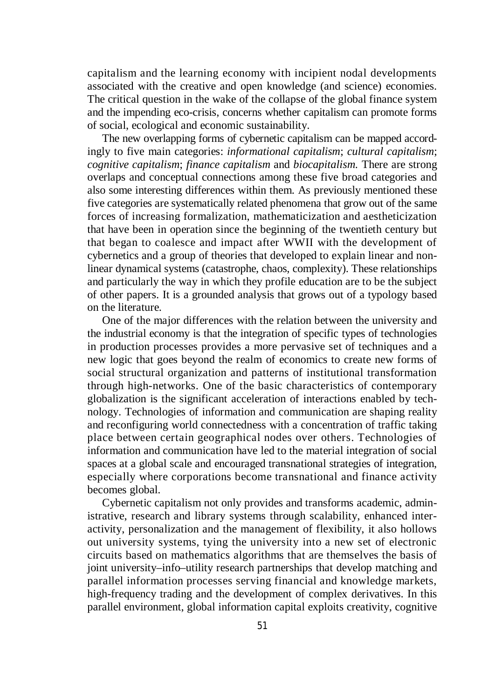capitalism and the learning economy with incipient nodal developments associated with the creative and open knowledge (and science) economies. The critical question in the wake of the collapse of the global finance system and the impending eco-crisis, concerns whether capitalism can promote forms of social, ecological and economic sustainability.

The new overlapping forms of cybernetic capitalism can be mapped accordingly to five main categories: *informational capitalism*; *cultural capitalism*; *cognitive capitalism*; *finance capitalism* and *biocapitalism.* There are strong overlaps and conceptual connections among these five broad categories and also some interesting differences within them. As previously mentioned these five categories are systematically related phenomena that grow out of the same forces of increasing formalization, mathematicization and aestheticization that have been in operation since the beginning of the twentieth century but that began to coalesce and impact after WWII with the development of cybernetics and a group of theories that developed to explain linear and nonlinear dynamical systems (catastrophe, chaos, complexity). These relationships and particularly the way in which they profile education are to be the subject of other papers. It is a grounded analysis that grows out of a typology based on the literature.

One of the major differences with the relation between the university and the industrial economy is that the integration of specific types of technologies in production processes provides a more pervasive set of techniques and a new logic that goes beyond the realm of economics to create new forms of social structural organization and patterns of institutional transformation through high-networks. One of the basic characteristics of contemporary globalization is the significant acceleration of interactions enabled by technology. Technologies of information and communication are shaping reality and reconfiguring world connectedness with a concentration of traffic taking place between certain geographical nodes over others. Technologies of information and communication have led to the material integration of social spaces at a global scale and encouraged transnational strategies of integration, especially where corporations become transnational and finance activity becomes global.

Cybernetic capitalism not only provides and transforms academic, administrative, research and library systems through scalability, enhanced interactivity, personalization and the management of flexibility, it also hollows out university systems, tying the university into a new set of electronic circuits based on mathematics algorithms that are themselves the basis of joint university–info–utility research partnerships that develop matching and parallel information processes serving financial and knowledge markets, high-frequency trading and the development of complex derivatives. In this parallel environment, global information capital exploits creativity, cognitive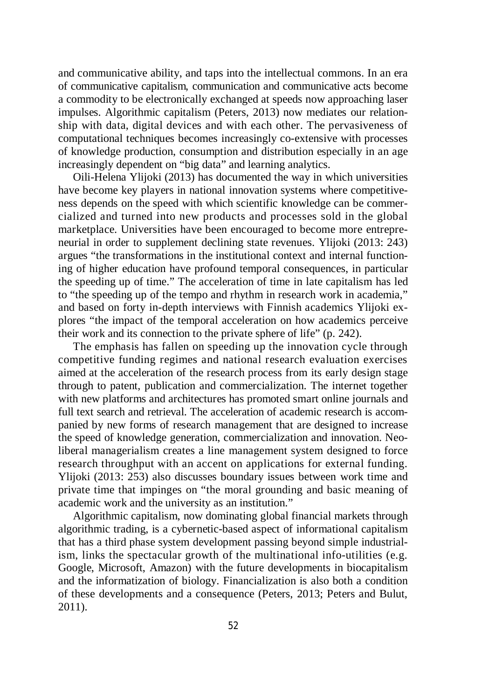and communicative ability, and taps into the intellectual commons. In an era of communicative capitalism, communication and communicative acts become a commodity to be electronically exchanged at speeds now approaching laser impulses. Algorithmic capitalism (Peters, 2013) now mediates our relationship with data, digital devices and with each other. The pervasiveness of computational techniques becomes increasingly co-extensive with processes of knowledge production, consumption and distribution especially in an age increasingly dependent on "big data" and learning analytics.

Oili-Helena Ylijoki (2013) has documented the way in which universities have become key players in national innovation systems where competitiveness depends on the speed with which scientific knowledge can be commercialized and turned into new products and processes sold in the global marketplace. Universities have been encouraged to become more entrepreneurial in order to supplement declining state revenues. Ylijoki (2013: 243) argues "the transformations in the institutional context and internal functioning of higher education have profound temporal consequences, in particular the speeding up of time." The acceleration of time in late capitalism has led to "the speeding up of the tempo and rhythm in research work in academia," and based on forty in-depth interviews with Finnish academics Ylijoki explores "the impact of the temporal acceleration on how academics perceive their work and its connection to the private sphere of life" (p. 242).

The emphasis has fallen on speeding up the innovation cycle through competitive funding regimes and national research evaluation exercises aimed at the acceleration of the research process from its early design stage through to patent, publication and commercialization. The internet together with new platforms and architectures has promoted smart online journals and full text search and retrieval. The acceleration of academic research is accompanied by new forms of research management that are designed to increase the speed of knowledge generation, commercialization and innovation. Neoliberal managerialism creates a line management system designed to force research throughput with an accent on applications for external funding. Ylijoki (2013: 253) also discusses boundary issues between work time and private time that impinges on "the moral grounding and basic meaning of academic work and the university as an institution."

Algorithmic capitalism, now dominating global financial markets through algorithmic trading, is a cybernetic-based aspect of informational capitalism that has a third phase system development passing beyond simple industrialism, links the spectacular growth of the multinational info-utilities (e.g. Google, Microsoft, Amazon) with the future developments in biocapitalism and the informatization of biology. Financialization is also both a condition of these developments and a consequence (Peters, 2013; Peters and Bulut, 2011).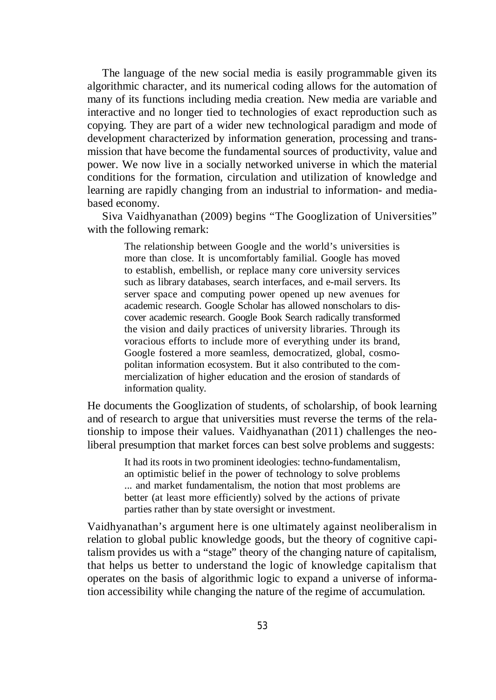The language of the new social media is easily programmable given its algorithmic character, and its numerical coding allows for the automation of many of its functions including media creation. New media are variable and interactive and no longer tied to technologies of exact reproduction such as copying. They are part of a wider new technological paradigm and mode of development characterized by information generation, processing and transmission that have become the fundamental sources of productivity, value and power. We now live in a socially networked universe in which the material conditions for the formation, circulation and utilization of knowledge and learning are rapidly changing from an industrial to information- and mediabased economy.

Siva Vaidhyanathan (2009) begins "The Googlization of Universities" with the following remark:

> The relationship between Google and the world's universities is more than close. It is uncomfortably familial. Google has moved to establish, embellish, or replace many core university services such as library databases, search interfaces, and e-mail servers. Its server space and computing power opened up new avenues for academic research. Google Scholar has allowed nonscholars to discover academic research. Google Book Search radically transformed the vision and daily practices of university libraries. Through its voracious efforts to include more of everything under its brand, Google fostered a more seamless, democratized, global, cosmopolitan information ecosystem. But it also contributed to the commercialization of higher education and the erosion of standards of information quality.

He documents the Googlization of students, of scholarship, of book learning and of research to argue that universities must reverse the terms of the relationship to impose their values. Vaidhyanathan (2011) challenges the neoliberal presumption that market forces can best solve problems and suggests:

> It had its roots in two prominent ideologies: techno-fundamentalism, an optimistic belief in the power of technology to solve problems ... and market fundamentalism, the notion that most problems are better (at least more efficiently) solved by the actions of private parties rather than by state oversight or investment.

Vaidhyanathan's argument here is one ultimately against neoliberalism in relation to global public knowledge goods, but the theory of cognitive capitalism provides us with a "stage" theory of the changing nature of capitalism, that helps us better to understand the logic of knowledge capitalism that operates on the basis of algorithmic logic to expand a universe of information accessibility while changing the nature of the regime of accumulation.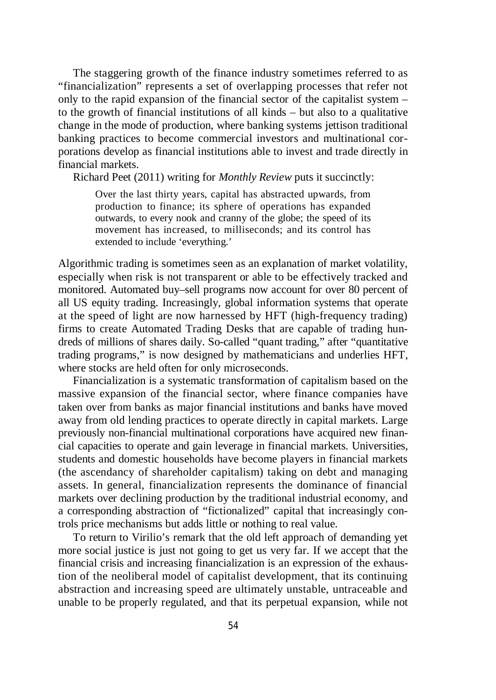The staggering growth of the finance industry sometimes referred to as "financialization" represents a set of overlapping processes that refer not only to the rapid expansion of the financial sector of the capitalist system – to the growth of financial institutions of all kinds – but also to a qualitative change in the mode of production, where banking systems jettison traditional banking practices to become commercial investors and multinational corporations develop as financial institutions able to invest and trade directly in financial markets.

Richard Peet (2011) writing for *Monthly Review* puts it succinctly:

Over the last thirty years, capital has abstracted upwards, from production to finance; its sphere of operations has expanded outwards, to every nook and cranny of the globe; the speed of its movement has increased, to milliseconds; and its control has extended to include 'everything.'

Algorithmic trading is sometimes seen as an explanation of market volatility, especially when risk is not transparent or able to be effectively tracked and monitored. Automated buy–sell programs now account for over 80 percent of all US equity trading. Increasingly, global information systems that operate at the speed of light are now harnessed by HFT (high-frequency trading) firms to create Automated Trading Desks that are capable of trading hundreds of millions of shares daily. So-called "quant trading," after "quantitative trading programs," is now designed by mathematicians and underlies HFT, where stocks are held often for only microseconds.

Financialization is a systematic transformation of capitalism based on the massive expansion of the financial sector, where finance companies have taken over from banks as major financial institutions and banks have moved away from old lending practices to operate directly in capital markets. Large previously non-financial multinational corporations have acquired new financial capacities to operate and gain leverage in financial markets. Universities, students and domestic households have become players in financial markets (the ascendancy of shareholder capitalism) taking on debt and managing assets. In general, financialization represents the dominance of financial markets over declining production by the traditional industrial economy, and a corresponding abstraction of "fictionalized" capital that increasingly controls price mechanisms but adds little or nothing to real value.

To return to Virilio's remark that the old left approach of demanding yet more social justice is just not going to get us very far. If we accept that the financial crisis and increasing financialization is an expression of the exhaustion of the neoliberal model of capitalist development, that its continuing abstraction and increasing speed are ultimately unstable, untraceable and unable to be properly regulated, and that its perpetual expansion, while not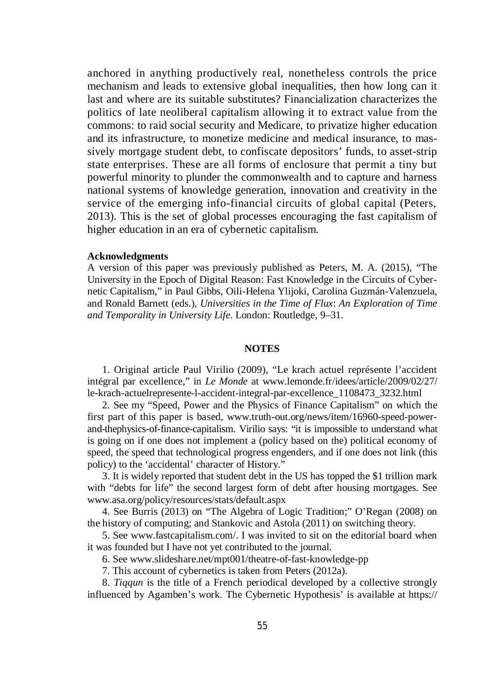anchored in anything productively real, nonetheless controls the price mechanism and leads to extensive global inequalities, then how long can it last and where are its suitable substitutes? Financialization characterizes the politics of late neoliberal capitalism allowing it to extract value from the commons: to raid social security and Medicare, to privatize higher education and its infrastructure, to monetize medicine and medical insurance, to massively mortgage student debt, to confiscate depositors' funds, to asset-strip state enterprises. These are all forms of enclosure that permit a tiny but powerful minority to plunder the commonwealth and to capture and harness national systems of knowledge generation, innovation and creativity in the service of the emerging info-financial circuits of global capital (Peters, 2013). This is the set of global processes encouraging the fast capitalism of higher education in an era of cybernetic capitalism.

#### **Acknowledgments**

A version of this paper was previously published as Peters, M. A. (2015), "The University in the Epoch of Digital Reason: Fast Knowledge in the Circuits of Cybernetic Capitalism," in Paul Gibbs, Oili-Helena Ylijoki, Carolina Guzmán-Valenzuela, and Ronald Barnett (eds.), *Universities in the Time of Flux*: *An Exploration of Time and Temporality in University Life*. London: Routledge, 9–31.

#### **NOTES**

1. Original article Paul Virilio (2009), "Le krach actuel représente l'accident intégral par excellence," in *Le Monde* at www.lemonde.fr/idees/article/2009/02/27/ le-krach-actuelrepresente-l-accident-integral-par-excellence\_1108473\_3232.html

2. See my "Speed, Power and the Physics of Finance Capitalism" on which the first part of this paper is based, www.truth-out.org/news/item/16960-speed-powerand-thephysics-of-finance-capitalism. Virilio says: "it is impossible to understand what is going on if one does not implement a (policy based on the) political economy of speed, the speed that technological progress engenders, and if one does not link (this policy) to the 'accidental' character of History."

3. It is widely reported that student debt in the US has topped the \$1 trillion mark with "debts for life" the second largest form of debt after housing mortgages. See www.asa.org/policy/resources/stats/default.aspx

4. See Burris (2013) on "The Algebra of Logic Tradition;" O'Regan (2008) on the history of computing; and Stankovic and Astola (2011) on switching theory.

5. See www.fastcapitalism.com/. I was invited to sit on the editorial board when it was founded but I have not yet contributed to the journal.

6. See www.slideshare.net/mpt001/theatre-of-fast-knowledge-pp

7. This account of cybernetics is taken from Peters (2012a).

8. *Tiqqun* is the title of a French periodical developed by a collective strongly influenced by Agamben's work. The Cybernetic Hypothesis' is available at https://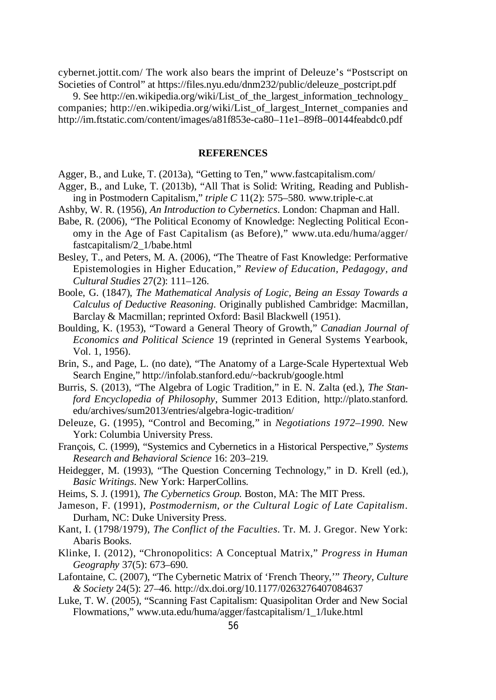cybernet.jottit.com/ The work also bears the imprint of Deleuze's "Postscript on Societies of Control" at https://files.nyu.edu/dnm232/public/deleuze\_postcript.pdf

9. See http://en.wikipedia.org/wiki/List of the largest information technology companies; http://en.wikipedia.org/wiki/List\_of\_largest\_Internet\_companies and http://im.ftstatic.com/content/images/a81f853e-ca80–11e1–89f8–00144feabdc0.pdf

#### **REFERENCES**

Agger, B., and Luke, T. (2013a), "Getting to Ten," www.fastcapitalism.com/

- Agger, B., and Luke, T. (2013b), "All That is Solid: Writing, Reading and Publishing in Postmodern Capitalism," *triple C* 11(2): 575–580. www.triple-c.at
- Ashby, W. R. (1956), *An Introduction to Cybernetics*. London: Chapman and Hall.
- Babe, R. (2006), "The Political Economy of Knowledge: Neglecting Political Economy in the Age of Fast Capitalism (as Before)," www.uta.edu/huma/agger/ fastcapitalism/2\_1/babe.html
- Besley, T., and Peters, M. A. (2006), "The Theatre of Fast Knowledge: Performative Epistemologies in Higher Education," *Review of Education, Pedagogy, and Cultural Studies* 27(2): 111–126.
- Boole, G. (1847), *The Mathematical Analysis of Logic, Being an Essay Towards a Calculus of Deductive Reasoning*. Originally published Cambridge: Macmillan, Barclay & Macmillan; reprinted Oxford: Basil Blackwell (1951).
- Boulding, K. (1953), "Toward a General Theory of Growth," *Canadian Journal of Economics and Political Science* 19 (reprinted in General Systems Yearbook, Vol. 1, 1956).
- Brin, S., and Page, L. (no date), "The Anatomy of a Large-Scale Hypertextual Web Search Engine," http://infolab.stanford.edu/~backrub/google.html
- Burris, S. (2013), "The Algebra of Logic Tradition," in E. N. Zalta (ed.), *The Stanford Encyclopedia of Philosophy*, Summer 2013 Edition, http://plato.stanford. edu/archives/sum2013/entries/algebra-logic-tradition/
- Deleuze, G. (1995), "Control and Becoming," in *Negotiations 1972–1990*. New York: Columbia University Press.
- François, C. (1999), "Systemics and Cybernetics in a Historical Perspective," *Systems Research and Behavioral Science* 16: 203–219.
- Heidegger, M. (1993), "The Question Concerning Technology," in D. Krell (ed.), *Basic Writings*. New York: HarperCollins.
- Heims, S. J. (1991), *The Cybernetics Group.* Boston, MA: The MIT Press.
- Jameson, F. (1991), *Postmodernism, or the Cultural Logic of Late Capitalism*. Durham, NC: Duke University Press.
- Kant, I. (1798/1979), *The Conflict of the Faculties*. Tr. M. J. Gregor. New York: Abaris Books.
- Klinke, I. (2012), "Chronopolitics: A Conceptual Matrix," *Progress in Human Geography* 37(5): 673–690.
- Lafontaine, C. (2007), "The Cybernetic Matrix of 'French Theory,'" *Theory, Culture & Society* 24(5): 27–46. http://dx.doi.org/10.1177/0263276407084637
- Luke, T. W. (2005), "Scanning Fast Capitalism: Quasipolitan Order and New Social Flowmations," www.uta.edu/huma/agger/fastcapitalism/1\_1/luke.html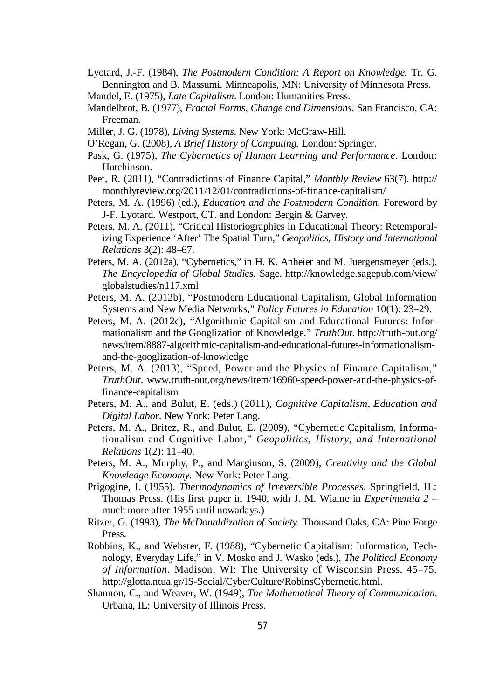Lyotard, J.-F. (1984), *The Postmodern Condition: A Report on Knowledge.* Tr. G. Bennington and B. Massumi. Minneapolis, MN: University of Minnesota Press. Mandel, E. (1975), *Late Capitalism*. London: Humanities Press.

Mandelbrot, B. (1977), *Fractal Forms, Change and Dimensions*. San Francisco, CA:

- Miller, J. G. (1978), *Living Systems*. New York: McGraw-Hill.
- O'Regan, G. (2008), *A Brief History of Computing.* London: Springer.
- Pask, G. (1975), *The Cybernetics of Human Learning and Performance*. London: Hutchinson.
- Peet, R. (2011), "Contradictions of Finance Capital," *Monthly Review* 63(7). http:// monthlyreview.org/2011/12/01/contradictions-of-finance-capitalism/
- Peters, M. A. (1996) (ed.), *Education and the Postmodern Condition*. Foreword by J-F. Lyotard. Westport, CT. and London: Bergin & Garvey.
- Peters, M. A. (2011), "Critical Historiographies in Educational Theory: Retemporalizing Experience 'After' The Spatial Turn," *Geopolitics, History and International Relations* 3(2): 48–67.
- Peters, M. A. (2012a), "Cybernetics," in H. K. Anheier and M. Juergensmeyer (eds.), *The Encyclopedia of Global Studies*. Sage. http://knowledge.sagepub.com/view/ globalstudies/n117.xml
- Peters, M. A. (2012b), "Postmodern Educational Capitalism, Global Information Systems and New Media Networks," *Policy Futures in Education* 10(1): 23–29.
- Peters, M. A. (2012c), "Algorithmic Capitalism and Educational Futures: Informationalism and the Googlization of Knowledge," *TruthOut*. http://truth-out.org/ news/item/8887-algorithmic-capitalism-and-educational-futures-informationalismand-the-googlization-of-knowledge
- Peters, M. A. (2013), "Speed, Power and the Physics of Finance Capitalism," *TruthOut*. www.truth-out.org/news/item/16960-speed-power-and-the-physics-offinance-capitalism
- Peters, M. A., and Bulut, E. (eds.) (2011), *Cognitive Capitalism, Education and Digital Labor.* New York: Peter Lang.
- Peters, M. A., Britez, R., and Bulut, E. (2009), "Cybernetic Capitalism, Informationalism and Cognitive Labor," *Geopolitics, History, and International Relations* 1(2): 11–40.
- Peters, M. A., Murphy, P., and Marginson, S. (2009), *Creativity and the Global Knowledge Economy.* New York: Peter Lang.
- Prigogine, I. (1955), *Thermodynamics of Irreversible Processes*. Springfield, IL: Thomas Press. (His first paper in 1940, with J. M. Wiame in *Experimentia 2* – much more after 1955 until nowadays.)
- Ritzer, G. (1993), *The McDonaldization of Society*. Thousand Oaks, CA: Pine Forge Press.
- Robbins, K., and Webster, F. (1988), "Cybernetic Capitalism: Information, Technology, Everyday Life," in V. Mosko and J. Wasko (eds.), *The Political Economy of Information*. Madison, WI: The University of Wisconsin Press, 45–75. http://glotta.ntua.gr/IS-Social/CyberCulture/RobinsCybernetic.html.
- Shannon, C., and Weaver, W. (1949), *The Mathematical Theory of Communication*. Urbana, IL: University of Illinois Press.

Freeman.